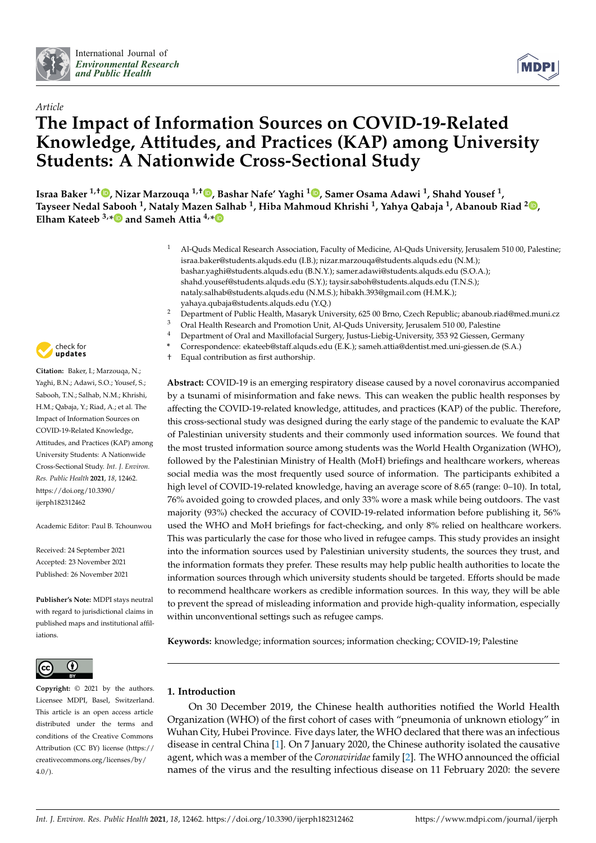



# *Article* **The Impact of Information Sources on COVID-19-Related Knowledge, Attitudes, and Practices (KAP) among University Students: A Nationwide Cross-Sectional Study**

**Israa Baker 1,† [,](https://orcid.org/0000-0002-5276-2520) Nizar Marzouqa 1,† [,](https://orcid.org/0000-0003-0460-3063) Bashar Nafe' Yaghi <sup>1</sup> [,](https://orcid.org/0000-0001-7264-4436) Samer Osama Adawi <sup>1</sup> , Shahd Yousef <sup>1</sup> , Tayseer Nedal S[abo](https://orcid.org/0000-0003-2077-3257)oh <sup>1</sup> , Nataly Mazen Salhab <sup>1</sup> , Hiba Mahmoud Khrishi <sup>1</sup> , Yahya Qabaja <sup>1</sup> , Abanoub Riad <sup>2</sup> [,](https://orcid.org/0000-0001-5918-8966) Elham Kateeb 3,\* and Sameh Attia 4,[\\*](https://orcid.org/0000-0002-9174-6435)**

- <sup>1</sup> Al-Quds Medical Research Association, Faculty of Medicine, Al-Quds University, Jerusalem 510 00, Palestine; israa.baker@students.alquds.edu (I.B.); nizar.marzouqa@students.alquds.edu (N.M.); bashar.yaghi@students.alquds.edu (B.N.Y.); samer.adawi@students.alquds.edu (S.O.A.); shahd.yousef@students.alquds.edu (S.Y.); taysir.saboh@students.alquds.edu (T.N.S.); nataly.salhab@students.alquds.edu (N.M.S.); hibakh.393@gmail.com (H.M.K.); yahaya.qubaja@students.alquds.edu (Y.Q.)
- <sup>2</sup> Department of Public Health, Masaryk University, 625 00 Brno, Czech Republic; abanoub.riad@med.muni.cz
- <sup>3</sup> Oral Health Research and Promotion Unit, Al-Quds University, Jerusalem 510 00, Palestine<br><sup>4</sup> Department of Oral and Maxillafacial Surgery, Justus Liphic University, 253.92 Giossen, Ca
	- <sup>4</sup> Department of Oral and Maxillofacial Surgery, Justus-Liebig-University, 353 92 Giessen, Germany
- **\*** Correspondence: ekateeb@staff.alquds.edu (E.K.); sameh.attia@dentist.med.uni-giessen.de (S.A.)
- † Equal contribution as first authorship.

**Abstract:** COVID-19 is an emerging respiratory disease caused by a novel coronavirus accompanied by a tsunami of misinformation and fake news. This can weaken the public health responses by affecting the COVID-19-related knowledge, attitudes, and practices (KAP) of the public. Therefore, this cross-sectional study was designed during the early stage of the pandemic to evaluate the KAP of Palestinian university students and their commonly used information sources. We found that the most trusted information source among students was the World Health Organization (WHO), followed by the Palestinian Ministry of Health (MoH) briefings and healthcare workers, whereas social media was the most frequently used source of information. The participants exhibited a high level of COVID-19-related knowledge, having an average score of 8.65 (range: 0–10). In total, 76% avoided going to crowded places, and only 33% wore a mask while being outdoors. The vast majority (93%) checked the accuracy of COVID-19-related information before publishing it, 56% used the WHO and MoH briefings for fact-checking, and only 8% relied on healthcare workers. This was particularly the case for those who lived in refugee camps. This study provides an insight into the information sources used by Palestinian university students, the sources they trust, and the information formats they prefer. These results may help public health authorities to locate the information sources through which university students should be targeted. Efforts should be made to recommend healthcare workers as credible information sources. In this way, they will be able to prevent the spread of misleading information and provide high-quality information, especially within unconventional settings such as refugee camps.

**Keywords:** knowledge; information sources; information checking; COVID-19; Palestine

# **1. Introduction**

On 30 December 2019, the Chinese health authorities notified the World Health Organization (WHO) of the first cohort of cases with "pneumonia of unknown etiology" in Wuhan City, Hubei Province. Five days later, the WHO declared that there was an infectious disease in central China [\[1\]](#page-14-0). On 7 January 2020, the Chinese authority isolated the causative agent, which was a member of the *Coronaviridae* family [\[2\]](#page-14-1). The WHO announced the official names of the virus and the resulting infectious disease on 11 February 2020: the severe



**Citation:** Baker, I.; Marzouqa, N.; Yaghi, B.N.; Adawi, S.O.; Yousef, S.; Sabooh, T.N.; Salhab, N.M.; Khrishi, H.M.; Qabaja, Y.; Riad, A.; et al. The Impact of Information Sources on COVID-19-Related Knowledge, Attitudes, and Practices (KAP) among University Students: A Nationwide Cross-Sectional Study. *Int. J. Environ. Res. Public Health* **2021**, *18*, 12462. [https://doi.org/10.3390/](https://doi.org/10.3390/ijerph182312462) [ijerph182312462](https://doi.org/10.3390/ijerph182312462)

Academic Editor: Paul B. Tchounwou

Received: 24 September 2021 Accepted: 23 November 2021 Published: 26 November 2021

**Publisher's Note:** MDPI stays neutral with regard to jurisdictional claims in published maps and institutional affiliations.



**Copyright:** © 2021 by the authors. Licensee MDPI, Basel, Switzerland. This article is an open access article distributed under the terms and conditions of the Creative Commons Attribution (CC BY) license (https:/[/](https://creativecommons.org/licenses/by/4.0/) [creativecommons.org/licenses/by/](https://creativecommons.org/licenses/by/4.0/) 4.0/).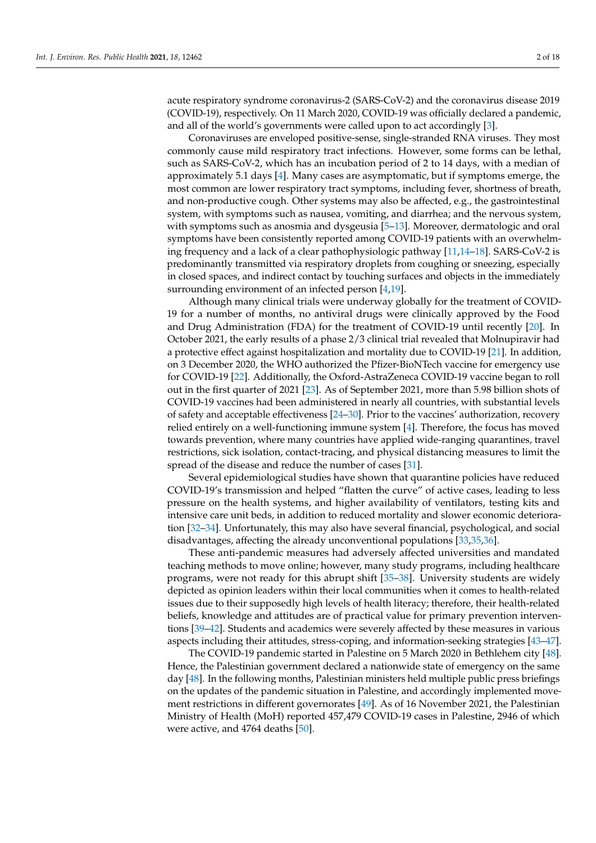acute respiratory syndrome coronavirus-2 (SARS-CoV-2) and the coronavirus disease 2019 (COVID-19), respectively. On 11 March 2020, COVID-19 was officially declared a pandemic, and all of the world's governments were called upon to act accordingly [\[3\]](#page-14-2).

Coronaviruses are enveloped positive-sense, single-stranded RNA viruses. They most commonly cause mild respiratory tract infections. However, some forms can be lethal, such as SARS-CoV-2, which has an incubation period of 2 to 14 days, with a median of approximately 5.1 days [\[4\]](#page-14-3). Many cases are asymptomatic, but if symptoms emerge, the most common are lower respiratory tract symptoms, including fever, shortness of breath, and non-productive cough. Other systems may also be affected, e.g., the gastrointestinal system, with symptoms such as nausea, vomiting, and diarrhea; and the nervous system, with symptoms such as anosmia and dysgeusia [\[5–](#page-14-4)[13\]](#page-15-0). Moreover, dermatologic and oral symptoms have been consistently reported among COVID-19 patients with an overwhelming frequency and a lack of a clear pathophysiologic pathway [\[11](#page-15-1)[,14](#page-15-2)[–18\]](#page-15-3). SARS-CoV-2 is predominantly transmitted via respiratory droplets from coughing or sneezing, especially in closed spaces, and indirect contact by touching surfaces and objects in the immediately surrounding environment of an infected person [\[4,](#page-14-3)[19\]](#page-15-4).

Although many clinical trials were underway globally for the treatment of COVID-19 for a number of months, no antiviral drugs were clinically approved by the Food and Drug Administration (FDA) for the treatment of COVID-19 until recently [\[20\]](#page-15-5). In October 2021, the early results of a phase 2/3 clinical trial revealed that Molnupiravir had a protective effect against hospitalization and mortality due to COVID-19 [\[21\]](#page-15-6). In addition, on 3 December 2020, the WHO authorized the Pfizer-BioNTech vaccine for emergency use for COVID-19 [\[22\]](#page-15-7). Additionally, the Oxford-AstraZeneca COVID-19 vaccine began to roll out in the first quarter of 2021 [\[23\]](#page-15-8). As of September 2021, more than 5.98 billion shots of COVID-19 vaccines had been administered in nearly all countries, with substantial levels of safety and acceptable effectiveness [\[24–](#page-15-9)[30\]](#page-16-0). Prior to the vaccines' authorization, recovery relied entirely on a well-functioning immune system [\[4\]](#page-14-3). Therefore, the focus has moved towards prevention, where many countries have applied wide-ranging quarantines, travel restrictions, sick isolation, contact-tracing, and physical distancing measures to limit the spread of the disease and reduce the number of cases [\[31\]](#page-16-1).

Several epidemiological studies have shown that quarantine policies have reduced COVID-19's transmission and helped "flatten the curve" of active cases, leading to less pressure on the health systems, and higher availability of ventilators, testing kits and intensive care unit beds, in addition to reduced mortality and slower economic deterioration [\[32](#page-16-2)[–34\]](#page-16-3). Unfortunately, this may also have several financial, psychological, and social disadvantages, affecting the already unconventional populations [\[33,](#page-16-4)[35,](#page-16-5)[36\]](#page-16-6).

These anti-pandemic measures had adversely affected universities and mandated teaching methods to move online; however, many study programs, including healthcare programs, were not ready for this abrupt shift [\[35](#page-16-5)[–38\]](#page-16-7). University students are widely depicted as opinion leaders within their local communities when it comes to health-related issues due to their supposedly high levels of health literacy; therefore, their health-related beliefs, knowledge and attitudes are of practical value for primary prevention interventions [\[39](#page-16-8)[–42\]](#page-16-9). Students and academics were severely affected by these measures in various aspects including their attitudes, stress-coping, and information-seeking strategies [\[43](#page-16-10)[–47\]](#page-16-11).

The COVID-19 pandemic started in Palestine on 5 March 2020 in Bethlehem city [\[48\]](#page-16-12). Hence, the Palestinian government declared a nationwide state of emergency on the same day [\[48\]](#page-16-12). In the following months, Palestinian ministers held multiple public press briefings on the updates of the pandemic situation in Palestine, and accordingly implemented movement restrictions in different governorates [\[49\]](#page-16-13). As of 16 November 2021, the Palestinian Ministry of Health (MoH) reported 457,479 COVID-19 cases in Palestine, 2946 of which were active, and 4764 deaths [\[50\]](#page-16-14).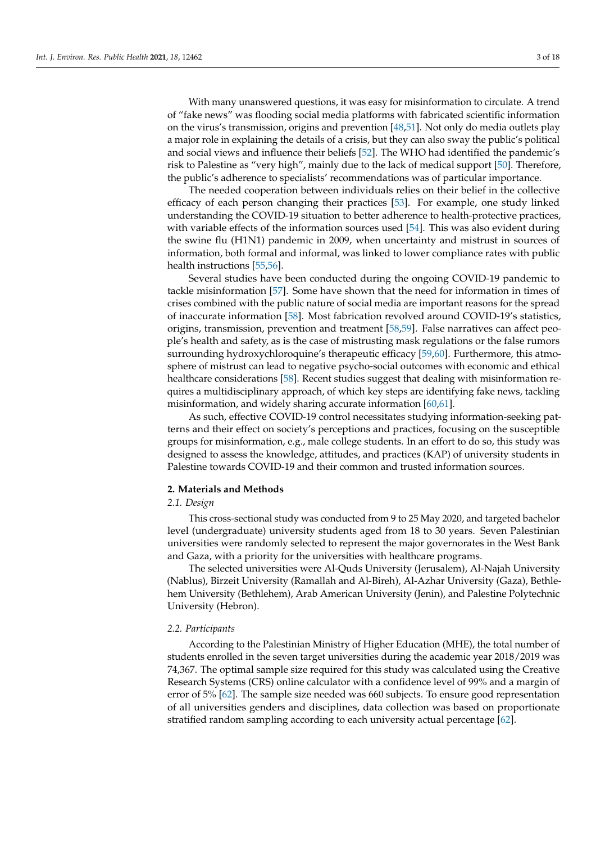With many unanswered questions, it was easy for misinformation to circulate. A trend of "fake news" was flooding social media platforms with fabricated scientific information on the virus's transmission, origins and prevention [\[48](#page-16-12)[,51\]](#page-16-15). Not only do media outlets play a major role in explaining the details of a crisis, but they can also sway the public's political and social views and influence their beliefs [\[52\]](#page-16-16). The WHO had identified the pandemic's risk to Palestine as "very high", mainly due to the lack of medical support [\[50\]](#page-16-14). Therefore, the public's adherence to specialists' recommendations was of particular importance.

The needed cooperation between individuals relies on their belief in the collective efficacy of each person changing their practices [\[53\]](#page-16-17). For example, one study linked understanding the COVID-19 situation to better adherence to health-protective practices, with variable effects of the information sources used [\[54\]](#page-16-18). This was also evident during the swine flu (H1N1) pandemic in 2009, when uncertainty and mistrust in sources of information, both formal and informal, was linked to lower compliance rates with public health instructions [\[55,](#page-16-19)[56\]](#page-16-20).

Several studies have been conducted during the ongoing COVID-19 pandemic to tackle misinformation [\[57\]](#page-16-21). Some have shown that the need for information in times of crises combined with the public nature of social media are important reasons for the spread of inaccurate information [\[58\]](#page-16-22). Most fabrication revolved around COVID-19's statistics, origins, transmission, prevention and treatment [\[58](#page-16-22)[,59\]](#page-17-0). False narratives can affect people's health and safety, as is the case of mistrusting mask regulations or the false rumors surrounding hydroxychloroquine's therapeutic efficacy [\[59,](#page-17-0)[60\]](#page-17-1). Furthermore, this atmosphere of mistrust can lead to negative psycho-social outcomes with economic and ethical healthcare considerations [\[58\]](#page-16-22). Recent studies suggest that dealing with misinformation requires a multidisciplinary approach, of which key steps are identifying fake news, tackling misinformation, and widely sharing accurate information [\[60](#page-17-1)[,61\]](#page-17-2).

As such, effective COVID-19 control necessitates studying information-seeking patterns and their effect on society's perceptions and practices, focusing on the susceptible groups for misinformation, e.g., male college students. In an effort to do so, this study was designed to assess the knowledge, attitudes, and practices (KAP) of university students in Palestine towards COVID-19 and their common and trusted information sources.

# **2. Materials and Methods**

# *2.1. Design*

This cross-sectional study was conducted from 9 to 25 May 2020, and targeted bachelor level (undergraduate) university students aged from 18 to 30 years. Seven Palestinian universities were randomly selected to represent the major governorates in the West Bank and Gaza, with a priority for the universities with healthcare programs.

The selected universities were Al-Quds University (Jerusalem), Al-Najah University (Nablus), Birzeit University (Ramallah and Al-Bireh), Al-Azhar University (Gaza), Bethlehem University (Bethlehem), Arab American University (Jenin), and Palestine Polytechnic University (Hebron).

# *2.2. Participants*

According to the Palestinian Ministry of Higher Education (MHE), the total number of students enrolled in the seven target universities during the academic year 2018/2019 was 74,367. The optimal sample size required for this study was calculated using the Creative Research Systems (CRS) online calculator with a confidence level of 99% and a margin of error of 5% [\[62\]](#page-17-3). The sample size needed was 660 subjects. To ensure good representation of all universities genders and disciplines, data collection was based on proportionate stratified random sampling according to each university actual percentage [\[62\]](#page-17-3).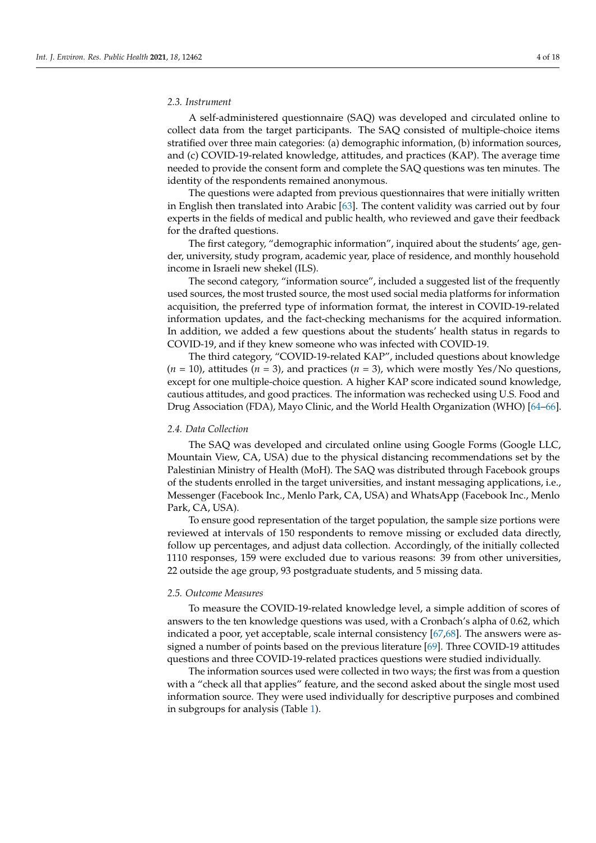# *2.3. Instrument*

A self-administered questionnaire (SAQ) was developed and circulated online to collect data from the target participants. The SAQ consisted of multiple-choice items stratified over three main categories: (a) demographic information, (b) information sources, and (c) COVID-19-related knowledge, attitudes, and practices (KAP). The average time needed to provide the consent form and complete the SAQ questions was ten minutes. The identity of the respondents remained anonymous.

The questions were adapted from previous questionnaires that were initially written in English then translated into Arabic [\[63\]](#page-17-4). The content validity was carried out by four experts in the fields of medical and public health, who reviewed and gave their feedback for the drafted questions.

The first category, "demographic information", inquired about the students' age, gender, university, study program, academic year, place of residence, and monthly household income in Israeli new shekel (ILS).

The second category, "information source", included a suggested list of the frequently used sources, the most trusted source, the most used social media platforms for information acquisition, the preferred type of information format, the interest in COVID-19-related information updates, and the fact-checking mechanisms for the acquired information. In addition, we added a few questions about the students' health status in regards to COVID-19, and if they knew someone who was infected with COVID-19.

The third category, "COVID-19-related KAP", included questions about knowledge  $(n = 10)$ , attitudes  $(n = 3)$ , and practices  $(n = 3)$ , which were mostly Yes/No questions, except for one multiple-choice question. A higher KAP score indicated sound knowledge, cautious attitudes, and good practices. The information was rechecked using U.S. Food and Drug Association (FDA), Mayo Clinic, and the World Health Organization (WHO) [\[64](#page-17-5)[–66\]](#page-17-6).

#### *2.4. Data Collection*

The SAQ was developed and circulated online using Google Forms (Google LLC, Mountain View, CA, USA) due to the physical distancing recommendations set by the Palestinian Ministry of Health (MoH). The SAQ was distributed through Facebook groups of the students enrolled in the target universities, and instant messaging applications, i.e., Messenger (Facebook Inc., Menlo Park, CA, USA) and WhatsApp (Facebook Inc., Menlo Park, CA, USA).

To ensure good representation of the target population, the sample size portions were reviewed at intervals of 150 respondents to remove missing or excluded data directly, follow up percentages, and adjust data collection. Accordingly, of the initially collected 1110 responses, 159 were excluded due to various reasons: 39 from other universities, 22 outside the age group, 93 postgraduate students, and 5 missing data.

#### *2.5. Outcome Measures*

To measure the COVID-19-related knowledge level, a simple addition of scores of answers to the ten knowledge questions was used, with a Cronbach's alpha of 0.62, which indicated a poor, yet acceptable, scale internal consistency [\[67](#page-17-7)[,68\]](#page-17-8). The answers were assigned a number of points based on the previous literature [\[69\]](#page-17-9). Three COVID-19 attitudes questions and three COVID-19-related practices questions were studied individually.

The information sources used were collected in two ways; the first was from a question with a "check all that applies" feature, and the second asked about the single most used information source. They were used individually for descriptive purposes and combined in subgroups for analysis (Table [1\)](#page-4-0).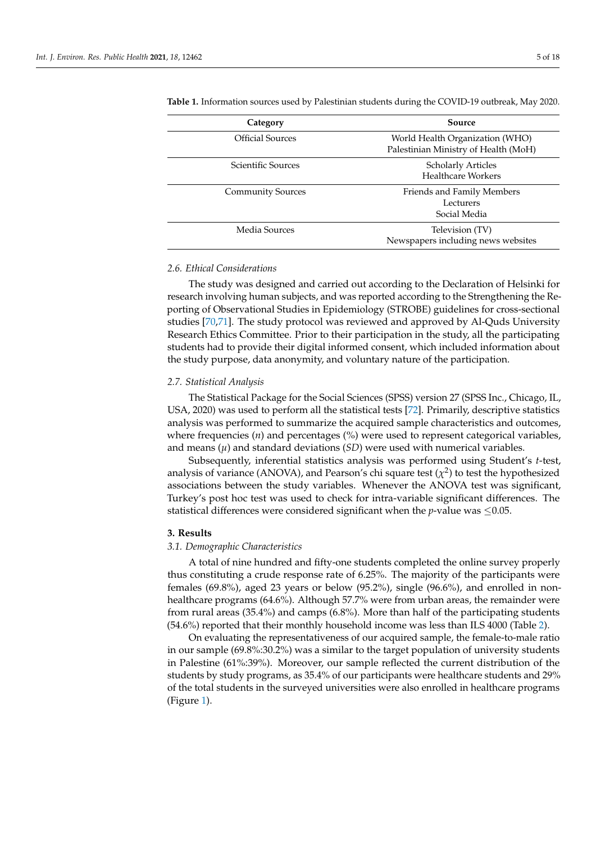| Category                 | Source                                                                  |
|--------------------------|-------------------------------------------------------------------------|
| <b>Official Sources</b>  | World Health Organization (WHO)<br>Palestinian Ministry of Health (MoH) |
| Scientific Sources       | <b>Scholarly Articles</b><br>Healthcare Workers                         |
| <b>Community Sources</b> | Friends and Family Members<br>Lecturers<br>Social Media                 |
| Media Sources            | Television (TV)<br>Newspapers including news websites                   |

<span id="page-4-0"></span>**Table 1.** Information sources used by Palestinian students during the COVID-19 outbreak, May 2020.

#### *2.6. Ethical Considerations*

The study was designed and carried out according to the Declaration of Helsinki for research involving human subjects, and was reported according to the Strengthening the Reporting of Observational Studies in Epidemiology (STROBE) guidelines for cross-sectional studies [\[70](#page-17-10)[,71\]](#page-17-11). The study protocol was reviewed and approved by Al-Quds University Research Ethics Committee. Prior to their participation in the study, all the participating students had to provide their digital informed consent, which included information about the study purpose, data anonymity, and voluntary nature of the participation.

#### *2.7. Statistical Analysis*

The Statistical Package for the Social Sciences (SPSS) version 27 (SPSS Inc., Chicago, IL, USA, 2020) was used to perform all the statistical tests [\[72\]](#page-17-12). Primarily, descriptive statistics analysis was performed to summarize the acquired sample characteristics and outcomes, where frequencies (*n*) and percentages (%) were used to represent categorical variables, and means  $(\mu)$  and standard deviations  $(SD)$  were used with numerical variables.

Subsequently, inferential statistics analysis was performed using Student's *t*-test, analysis of variance (ANOVA), and Pearson's chi square test  $(\chi^2)$  to test the hypothesized associations between the study variables. Whenever the ANOVA test was significant, Turkey's post hoc test was used to check for intra-variable significant differences. The statistical differences were considered significant when the *p*-value was ≤0.05.

#### **3. Results**

#### *3.1. Demographic Characteristics*

A total of nine hundred and fifty-one students completed the online survey properly thus constituting a crude response rate of 6.25%. The majority of the participants were females (69.8%), aged 23 years or below (95.2%), single (96.6%), and enrolled in nonhealthcare programs (64.6%). Although 57.7% were from urban areas, the remainder were from rural areas (35.4%) and camps (6.8%). More than half of the participating students (54.6%) reported that their monthly household income was less than ILS 4000 (Table [2\)](#page-5-0).

On evaluating the representativeness of our acquired sample, the female-to-male ratio in our sample (69.8%:30.2%) was a similar to the target population of university students in Palestine (61%:39%). Moreover, our sample reflected the current distribution of the students by study programs, as 35.4% of our participants were healthcare students and 29% of the total students in the surveyed universities were also enrolled in healthcare programs (Figure [1\)](#page-5-1).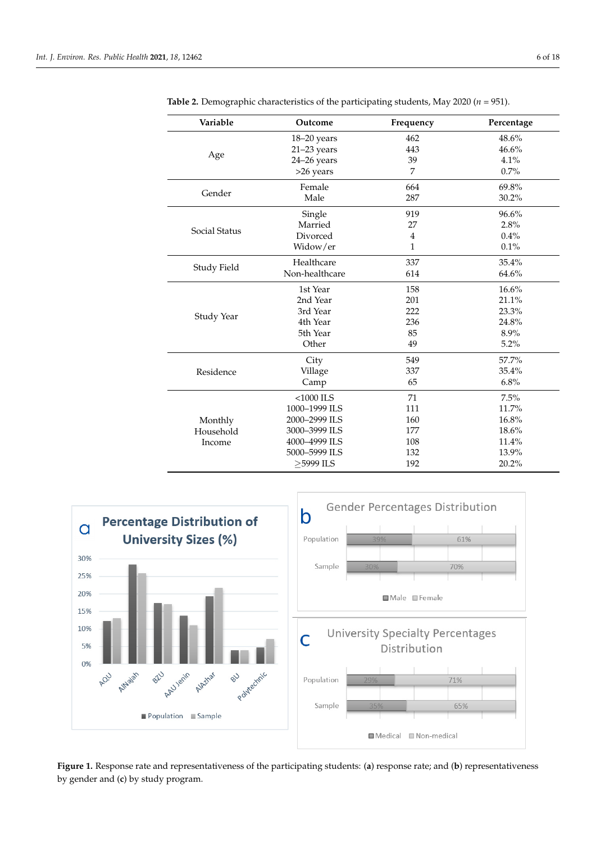| Variable           | Outcome        | Frequency      | Percentage |
|--------------------|----------------|----------------|------------|
|                    | 18-20 years    | 462            | 48.6%      |
|                    | $21-23$ years  | 443            | 46.6%      |
| Age                | 24-26 years    | 39             | 4.1%       |
|                    | >26 years      | 7              | 0.7%       |
|                    | Female         | 664            | 69.8%      |
| Gender             | Male           | 287            | $30.2\%$   |
|                    | Single         | 919            | 96.6%      |
|                    | Married        | 27             | 2.8%       |
| Social Status      | Divorced       | $\overline{4}$ | 0.4%       |
|                    | Widow/er       | $\mathbf{1}$   | $0.1\%$    |
|                    | Healthcare     | 337            | 35.4%      |
| <b>Study Field</b> | Non-healthcare | 614            | 64.6%      |
|                    | 1st Year       | 158            | 16.6%      |
|                    | 2nd Year       | 201            | 21.1%      |
| Study Year         | 3rd Year       | 222            | 23.3%      |
|                    | 4th Year       | 236            | 24.8%      |
|                    | 5th Year       | 85             | 8.9%       |
|                    | Other          | 49             | 5.2%       |
|                    | City           | 549            | 57.7%      |
| Residence          | Village        | 337            | 35.4%      |
|                    | Camp           | 65             | 6.8%       |
|                    | $<$ 1000 ILS   | 71             | 7.5%       |
|                    | 1000-1999 ILS  | 111            | 11.7%      |
| Monthly            | 2000-2999 ILS  | 160            | 16.8%      |
| Household          | 3000-3999 ILS  | 177            | 18.6%      |
| Income             | 4000-4999 ILS  | 108            | 11.4%      |
|                    | 5000-5999 ILS  | 132            | 13.9%      |
|                    | >5999 ILS      | 192            | 20.2%      |
|                    |                |                |            |

<span id="page-5-0"></span>**Table 2.** Demographic characteristics of the participating students, May 2020 (*n* = 951).

<span id="page-5-1"></span>

Figure 1. Response rate and representativeness of the participating students: (a) response rate; and (b) representativeness by gender and (**c**) by study program. by gender and (**c**) by study program.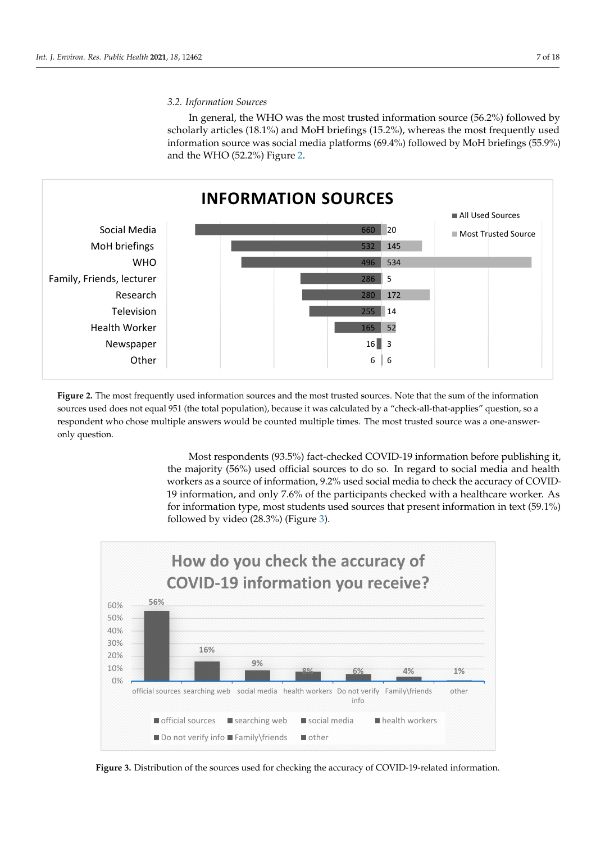In general, the WHO was the most trusted information source (56.2%) followed by In general, the WHO was the most trusted information source (56.2%) followed by scholarly articles (18.1%) and MoH briefings (15.2%), whereas the most frequently used scholarly articles (18.1%) and MoH briefings (19.2%), whereas the most frequently used information source was social media platforms (69.4%) followed by MoH briefings (55.9%) and the WHO (52.2%) Figure [2.](#page-6-0) (55.9%) and the WHO (52.2%) Figure 2.  $\frac{1}{100}$  information social media platforms (69.4%) followed by MoH briefings (69.9%)

<span id="page-6-0"></span>

**Figure 1.** Response rate and representativeness of the participating students: (**a**) response rate; and (**b**) representativeness

Figure 2. The most frequently used information sources and the most trusted sources. Note that the sum of the information sources used does not equal 951 (the total population), because it was calculated by a "check-all-that-applies" question, so a and the response multiple and the multiple multiple and multiple times. The most trusted source was a operator, but the most trusted source was a one of the most trusted source was a one of the most trusted source was a on respondent who chose multiple answers would be counted multiple times. The most trusted source was a one-answer-<br>only question.

Most respondents (93.5%) fact‐checked COVID‐19 information before publishing it, Most respondents (93.5%) fact-checked COVID-19 information before publishing it, the majority (56%) used official sources to do so. In regard to social media and health workers as a source of information, 9.2% used social media to check the accuracy of workers as a source of information, 9.2% used social media to check the accuracy of COVID-COVID‐19 information, and only 7.6% of the participants checked with a healthcare 19 information, and only 7.6% of the participants checked with a healthcare worker. As for information type, most students used sources that present information in text  $(59.1\%)$ followed by video (28.3%) (Figure [3\)](#page-6-1).

<span id="page-6-1"></span>

**Figure 3.** Distribution of the sources used for checking the accuracy of COVID‐19‐related information. **Figure 3.** Distribution of the sources used for checking the accuracy of COVID-19-related information.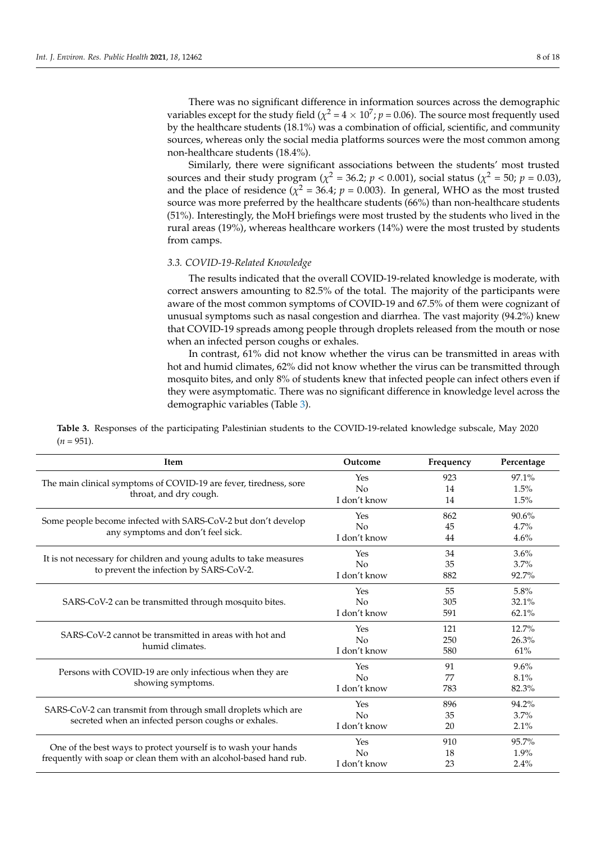There was no significant difference in information sources across the demographic variables except for the study field ( $\chi^2$  = 4  $\times$  10<sup>7</sup>;  $p$  = 0.06). The source most frequently used by the healthcare students (18.1%) was a combination of official, scientific, and community sources, whereas only the social media platforms sources were the most common among non-healthcare students (18.4%).

Similarly, there were significant associations between the students' most trusted sources and their study program ( $\chi^2$  = 36.2; *p* < 0.001), social status ( $\chi^2$  = 50; *p* = 0.03), and the place of residence ( $\chi^2$  = 36.4;  $p$  = 0.003). In general, WHO as the most trusted source was more preferred by the healthcare students (66%) than non-healthcare students (51%). Interestingly, the MoH briefings were most trusted by the students who lived in the rural areas (19%), whereas healthcare workers (14%) were the most trusted by students from camps.

#### *3.3. COVID-19-Related Knowledge*

The results indicated that the overall COVID-19-related knowledge is moderate, with correct answers amounting to 82.5% of the total. The majority of the participants were aware of the most common symptoms of COVID-19 and 67.5% of them were cognizant of unusual symptoms such as nasal congestion and diarrhea. The vast majority (94.2%) knew that COVID-19 spreads among people through droplets released from the mouth or nose when an infected person coughs or exhales.

In contrast, 61% did not know whether the virus can be transmitted in areas with hot and humid climates, 62% did not know whether the virus can be transmitted through mosquito bites, and only 8% of students knew that infected people can infect others even if they were asymptomatic. There was no significant difference in knowledge level across the demographic variables (Table [3\)](#page-7-0).

<span id="page-7-0"></span>**Table 3.** Responses of the participating Palestinian students to the COVID-19-related knowledge subscale, May 2020  $(n = 951)$ .

| Item                                                                                                          | Outcome        | Frequency | Percentage |
|---------------------------------------------------------------------------------------------------------------|----------------|-----------|------------|
|                                                                                                               | Yes            | 923       | 97.1%      |
| The main clinical symptoms of COVID-19 are fever, tiredness, sore                                             | No             | 14        | 1.5%       |
| throat, and dry cough.                                                                                        | I don't know   | 14        | 1.5%       |
| Some people become infected with SARS-CoV-2 but don't develop                                                 | Yes            | 862       | 90.6%      |
|                                                                                                               | No             | 45        | 4.7%       |
| any symptoms and don't feel sick.                                                                             | I don't know   | 44        | 4.6%       |
|                                                                                                               | Yes            | 34        | 3.6%       |
| It is not necessary for children and young adults to take measures<br>to prevent the infection by SARS-CoV-2. | No             | 35        | 3.7%       |
|                                                                                                               | I don't know   | 882       | 92.7%      |
|                                                                                                               | Yes            | 55        | 5.8%       |
| SARS-CoV-2 can be transmitted through mosquito bites.                                                         | No             | 305       | 32.1%      |
|                                                                                                               | I don't know   | 591       | 62.1%      |
|                                                                                                               | Yes            | 121       | 12.7%      |
| SARS-CoV-2 cannot be transmitted in areas with hot and                                                        | No             | 250       | 26.3%      |
| humid climates.                                                                                               | I don't know   | 580       | 61%        |
| Persons with COVID-19 are only infectious when they are                                                       | Yes            | 91        | 9.6%       |
|                                                                                                               | No             | 77        | 8.1%       |
| showing symptoms.                                                                                             | I don't know   | 783       | 82.3%      |
|                                                                                                               | Yes            | 896       | 94.2%      |
| SARS-CoV-2 can transmit from through small droplets which are                                                 | No             | 35        | 3.7%       |
| secreted when an infected person coughs or exhales.                                                           | I don't know   | 20        | 2.1%       |
|                                                                                                               | Yes            | 910       | 95.7%      |
| One of the best ways to protect yourself is to wash your hands                                                | N <sub>o</sub> | 18        | 1.9%       |
| frequently with soap or clean them with an alcohol-based hand rub.                                            | I don't know   | 23        | 2.4%       |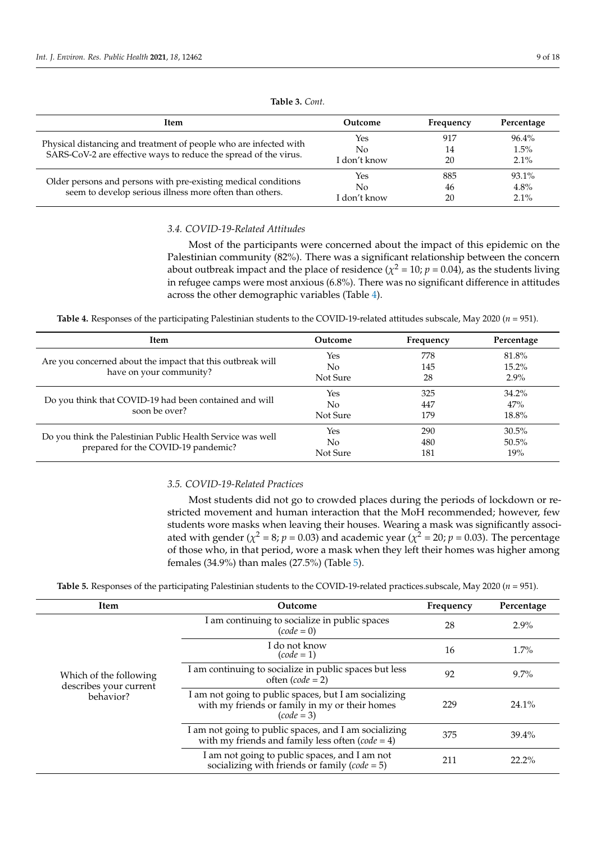| <b>Item</b>                                                                                                                           | Outcome      | Frequency | Percentage |
|---------------------------------------------------------------------------------------------------------------------------------------|--------------|-----------|------------|
|                                                                                                                                       | Yes          | 917       | 96.4%      |
| Physical distancing and treatment of people who are infected with<br>SARS-CoV-2 are effective ways to reduce the spread of the virus. | No           | 14        | 1.5%       |
|                                                                                                                                       | I don't know | 20        | $2.1\%$    |
|                                                                                                                                       | Yes          | 885       | $93.1\%$   |
| Older persons and persons with pre-existing medical conditions<br>seem to develop serious illness more often than others.             | No           | 46        | 4.8%       |
|                                                                                                                                       | I don't know | 20        | $2.1\%$    |

# **Table 3.** *Cont.*

# *3.4. COVID-19-Related Attitudes*

Most of the participants were concerned about the impact of this epidemic on the Palestinian community (82%). There was a significant relationship between the concern about outbreak impact and the place of residence ( $\chi^2$  = 10;  $p$  = 0.04), as the students living in refugee camps were most anxious (6.8%). There was no significant difference in attitudes across the other demographic variables (Table [4\)](#page-8-0).

<span id="page-8-0"></span>**Table 4.** Responses of the participating Palestinian students to the COVID-19-related attitudes subscale, May 2020 (*n* = 951).

| Item                                                        | Outcome  | Frequency | Percentage |
|-------------------------------------------------------------|----------|-----------|------------|
|                                                             | Yes      | 778       | 81.8%      |
| Are you concerned about the impact that this outbreak will  | No       | 145       | $15.2\%$   |
| have on your community?                                     | Not Sure | 28        | $2.9\%$    |
|                                                             | Yes      | 325       | $34.2\%$   |
| Do you think that COVID-19 had been contained and will      | No       | 447       | 47%        |
| soon be over?                                               | Not Sure | 179       | 18.8%      |
|                                                             | Yes      | 290       | $30.5\%$   |
| Do you think the Palestinian Public Health Service was well | No       | 480       | $50.5\%$   |
| prepared for the COVID-19 pandemic?                         | Not Sure | 181       | 19%        |

#### *3.5. COVID-19-Related Practices*

Most students did not go to crowded places during the periods of lockdown or restricted movement and human interaction that the MoH recommended; however, few students wore masks when leaving their houses. Wearing a mask was significantly associated with gender ( $\chi^2 = 8$ ;  $p = 0.03$ ) and academic year ( $\chi^2 = 20$ ;  $p = 0.03$ ). The percentage of those who, in that period, wore a mask when they left their homes was higher among females (34.9%) than males (27.5%) (Table [5\)](#page-8-1).

**Table 5.** Responses of the participating Palestinian students to the COVID-19-related practices.subscale, May 2020 (*n* = 951).

<span id="page-8-1"></span>

| Item                                             | Outcome                                                                                                                 | Frequency | Percentage |
|--------------------------------------------------|-------------------------------------------------------------------------------------------------------------------------|-----------|------------|
|                                                  | I am continuing to socialize in public spaces<br>$(code = 0)$                                                           | 28        | $2.9\%$    |
|                                                  | I do not know<br>$(code = 1)$                                                                                           | 16        | 1.7%       |
| Which of the following<br>describes your current | I am continuing to socialize in public spaces but less<br>often $(code = 2)$                                            | 92        | $9.7\%$    |
| behavior?                                        | I am not going to public spaces, but I am socializing<br>with my friends or family in my or their homes<br>$(code = 3)$ | 229       | $24.1\%$   |
|                                                  | I am not going to public spaces, and I am socializing<br>with my friends and family less often $(code = 4)$             | 375       | $39.4\%$   |
|                                                  | I am not going to public spaces, and I am not<br>socializing with friends or family ( $code = 5$ )                      | 211       | $22.2\%$   |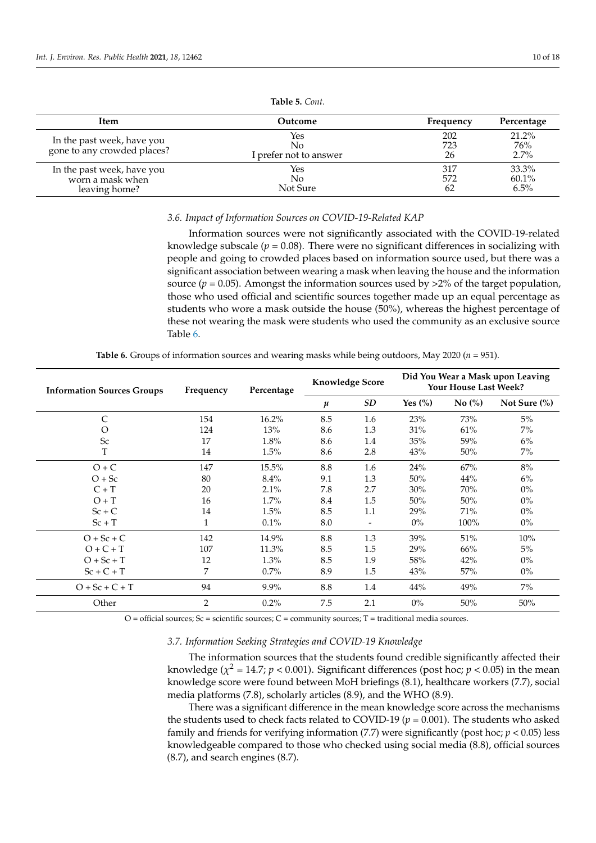| Item                                                            | Outcome                             | Frequency        | Percentage                |
|-----------------------------------------------------------------|-------------------------------------|------------------|---------------------------|
| In the past week, have you<br>gone to any crowded places?       | Yes<br>No<br>I prefer not to answer | 202<br>723<br>26 | 21.2%<br>76%<br>2.7%      |
| In the past week, have you<br>worn a mask when<br>leaving home? | <b>Yes</b><br>No.<br>Not Sure       | 317<br>572<br>62 | 33.3%<br>60.1%<br>$6.5\%$ |

**Table 5.** *Cont.*

#### *3.6. Impact of Information Sources on COVID-19-Related KAP*

Information sources were not significantly associated with the COVID-19-related knowledge subscale  $(p = 0.08)$ . There were no significant differences in socializing with people and going to crowded places based on information source used, but there was a significant association between wearing a mask when leaving the house and the information source ( $p = 0.05$ ). Amongst the information sources used by  $>2\%$  of the target population, those who used official and scientific sources together made up an equal percentage as students who wore a mask outside the house (50%), whereas the highest percentage of these not wearing the mask were students who used the community as an exclusive source Table [6.](#page-9-0)

| <b>Table 6.</b> Groups of information sources and wearing masks while being outdoors, May 2020 ( $n = 951$ ). |  |
|---------------------------------------------------------------------------------------------------------------|--|
|---------------------------------------------------------------------------------------------------------------|--|

<span id="page-9-0"></span>

| <b>Information Sources Groups</b> | Frequency      | Percentage | <b>Knowledge Score</b> |           |             | Your House Last Week? | Did You Wear a Mask upon Leaving |
|-----------------------------------|----------------|------------|------------------------|-----------|-------------|-----------------------|----------------------------------|
|                                   |                |            | $\mu$                  | <b>SD</b> | Yes $(\% )$ | No(%)                 | Not Sure $(\%)$                  |
| $\mathsf{C}$                      | 154            | 16.2%      | 8.5                    | 1.6       | 23%         | 73%                   | 5%                               |
| O                                 | 124            | 13%        | 8.6                    | 1.3       | 31%         | 61%                   | $7\%$                            |
| <b>Sc</b>                         | 17             | 1.8%       | 8.6                    | 1.4       | 35%         | 59%                   | 6%                               |
| T                                 | 14             | 1.5%       | 8.6                    | 2.8       | 43%         | 50%                   | $7\%$                            |
| $O + C$                           | 147            | 15.5%      | 8.8                    | 1.6       | 24%         | 67%                   | $8\%$                            |
| $O + Sc$                          | 80             | 8.4%       | 9.1                    | 1.3       | 50%         | 44%                   | 6%                               |
| $C+T$                             | 20             | 2.1%       | 7.8                    | 2.7       | 30%         | 70%                   | $0\%$                            |
| $O + T$                           | 16             | 1.7%       | 8.4                    | 1.5       | 50%         | 50%                   | $0\%$                            |
| $Sc + C$                          | 14             | 1.5%       | 8.5                    | 1.1       | 29%         | 71%                   | $0\%$                            |
| $Sc + T$                          | 1              | 0.1%       | 8.0                    |           | $0\%$       | 100%                  | $0\%$                            |
| $O + Sc + C$                      | 142            | 14.9%      | 8.8                    | 1.3       | 39%         | 51%                   | 10%                              |
| $O + C + T$                       | 107            | 11.3%      | 8.5                    | 1.5       | 29%         | 66%                   | 5%                               |
| $O + Sc + T$                      | 12             | $1.3\%$    | 8.5                    | 1.9       | 58%         | 42%                   | $0\%$                            |
| $Sc + C + T$                      | 7              | $0.7\%$    | 8.9                    | 1.5       | 43%         | 57%                   | $0\%$                            |
| $O + Sc + C + T$                  | 94             | $9.9\%$    | 8.8                    | 1.4       | 44%         | 49%                   | $7\%$                            |
| Other                             | $\overline{2}$ | $0.2\%$    | 7.5                    | 2.1       | $0\%$       | 50%                   | 50%                              |

 $O =$  official sources;  $Sc =$  scientific sources;  $C =$  community sources;  $T =$  traditional media sources.

# *3.7. Information Seeking Strategies and COVID-19 Knowledge*

The information sources that the students found credible significantly affected their knowledge ( $\chi^2$  = 14.7;  $p$  < 0.001). Significant differences (post hoc;  $p$  < 0.05) in the mean knowledge score were found between MoH briefings (8.1), healthcare workers (7.7), social media platforms (7.8), scholarly articles (8.9), and the WHO (8.9).

There was a significant difference in the mean knowledge score across the mechanisms the students used to check facts related to COVID-19 ( $p = 0.001$ ). The students who asked family and friends for verifying information (7.7) were significantly (post hoc; *p* < 0.05) less knowledgeable compared to those who checked using social media (8.8), official sources (8.7), and search engines (8.7).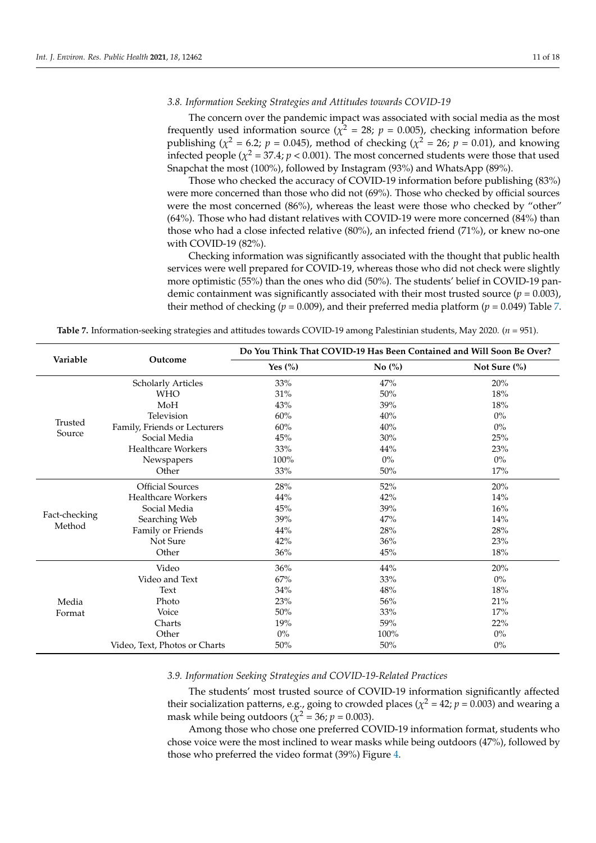# *3.8. Information Seeking Strategies and Attitudes towards COVID-19*

The concern over the pandemic impact was associated with social media as the most frequently used information source ( $\chi^2 = 28$ ;  $p = 0.005$ ), checking information before publishing ( $\chi^2$  = 6.2; *p* = 0.045), method of checking ( $\chi^2$  = 26; *p* = 0.01), and knowing infected people ( $\chi^2$  = 37.4;  $p$  < 0.001). The most concerned students were those that used Snapchat the most (100%), followed by Instagram (93%) and WhatsApp (89%).

Those who checked the accuracy of COVID-19 information before publishing (83%) were more concerned than those who did not (69%). Those who checked by official sources were the most concerned (86%), whereas the least were those who checked by "other" (64%). Those who had distant relatives with COVID-19 were more concerned (84%) than those who had a close infected relative (80%), an infected friend (71%), or knew no-one with COVID-19 (82%).

Checking information was significantly associated with the thought that public health services were well prepared for COVID-19, whereas those who did not check were slightly more optimistic (55%) than the ones who did (50%). The students' belief in COVID-19 pandemic containment was significantly associated with their most trusted source  $(p = 0.003)$ , their method of checking ( $p = 0.009$ ), and their preferred media platform ( $p = 0.049$ ) Table [7.](#page-10-0)

|               |                               | Do You Think That COVID-19 Has Been Contained and Will Soon Be Over? |                      |                 |  |
|---------------|-------------------------------|----------------------------------------------------------------------|----------------------|-----------------|--|
| Variable      | Outcome                       | Yes $\left(\% \right)$                                               | No $\left(\%\right)$ | Not Sure $(\%)$ |  |
|               | <b>Scholarly Articles</b>     | 33%                                                                  | 47%                  | 20%             |  |
|               | <b>WHO</b>                    | $31\%$                                                               | 50%                  | 18%             |  |
|               | MoH                           | 43%                                                                  | 39%                  | 18%             |  |
|               | Television                    | 60%                                                                  | 40%                  | $0\%$           |  |
| Trusted       | Family, Friends or Lecturers  | 60%                                                                  | 40%                  | $0\%$           |  |
| Source        | Social Media                  | 45%                                                                  | 30%                  | 25%             |  |
|               | <b>Healthcare Workers</b>     | 33%                                                                  | 44%                  | $23\%$          |  |
|               | Newspapers                    | 100%                                                                 | $0\%$                | $0\%$           |  |
|               | Other                         | $33\%$                                                               | $50\%$               | $17\%$          |  |
|               | <b>Official Sources</b>       | 28%                                                                  | 52%                  | 20%             |  |
|               | <b>Healthcare Workers</b>     | 44%                                                                  | 42%                  | 14%             |  |
|               | Social Media                  | $45\%$                                                               | 39%                  | 16%             |  |
| Fact-checking | Searching Web                 | 39%                                                                  | 47%                  | 14%             |  |
| Method        | Family or Friends             | 44%                                                                  | 28%                  | 28%             |  |
|               | Not Sure                      | 42%                                                                  | 36%                  | 23%             |  |
|               | Other                         | 36%                                                                  | 45%                  | 18%             |  |
|               | Video                         | 36%                                                                  | 44%                  | 20%             |  |
|               | Video and Text                | 67%                                                                  | 33%                  | $0\%$           |  |
|               | Text                          | 34%                                                                  | 48%                  | 18%             |  |
| Media         | Photo                         | 23%                                                                  | 56%                  | 21%             |  |
| Format        | Voice                         | $50\%$                                                               | 33%                  | 17%             |  |
|               | Charts                        | 19%                                                                  | 59%                  | 22%             |  |
|               | Other                         | $0\%$                                                                | 100%                 | $0\%$           |  |
|               | Video, Text, Photos or Charts | 50%                                                                  | 50%                  | $0\%$           |  |

<span id="page-10-0"></span>**Table 7.** Information-seeking strategies and attitudes towards COVID-19 among Palestinian students, May 2020. (*n* = 951).

#### *3.9. Information Seeking Strategies and COVID-19-Related Practices*

The students' most trusted source of COVID-19 information significantly affected their socialization patterns, e.g., going to crowded places ( $\chi^2$  = 42;  $p$  = 0.003) and wearing a mask while being outdoors ( $\chi^2$  = 36;  $p$  = 0.003).

Among those who chose one preferred COVID-19 information format, students who chose voice were the most inclined to wear masks while being outdoors (47%), followed by those who preferred the video format (39%) Figure [4.](#page-12-0)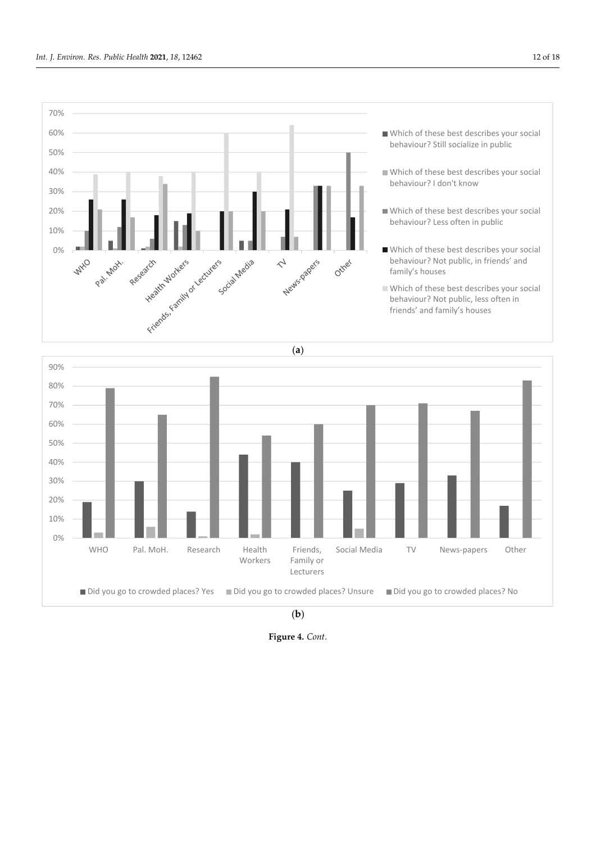

*Int. J. Environ. Res. Public Health* **2021**, *18*, x FOR PEER REVIEW 13 of 19



(**b**)

**Figure 4.** *Cont*.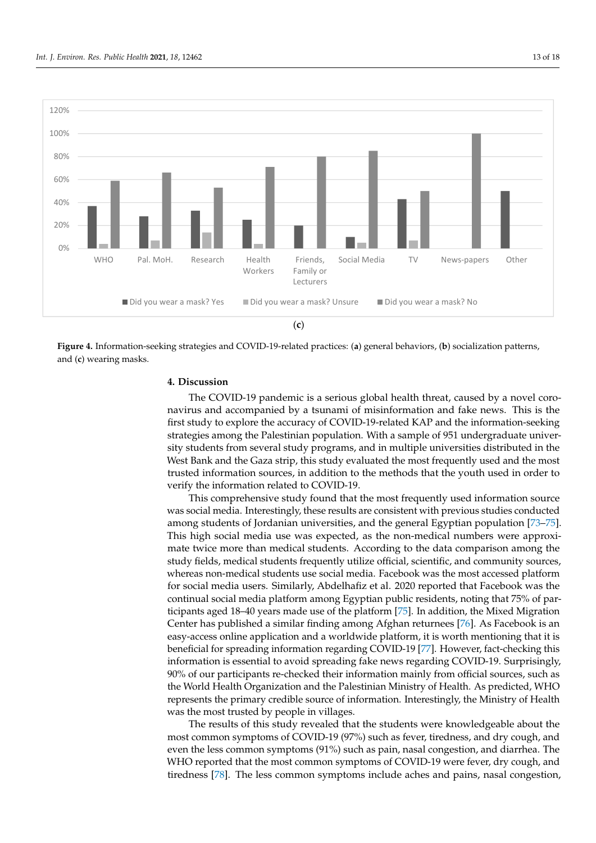<span id="page-12-0"></span>

Figure 4. Information-seeking strategies and COVID-19-related practices: (a) general behaviors, (b) socialization patterns, and (**c**) wearing masks. and (**c**) wearing masks.

# **4. Discussion 4. Discussion**

The COVID-19 pandemic is a serious global health threat, caused by a novel coronavirus and accompanied by a tsunami of misinformation and fake news. This is the first study to explore the accuracy of COVID-19-related KAP and the information-seeking strategies among the Palestinian population. With a sample of 951 undergraduate univer‐ strategies among the Palestinian population. With a sample of 951 undergraduate university students from several study programs, and in multiple universities distributed in the sity students from several study programs, and in multiple universities distributed in the West Bank and the Gaza strip, this study evaluated the most frequently used and the most West Bank and the Gaza strip, this study evaluated the most frequently used and the most trusted information sources, in addition to the methods that the youth used in order to trusted information sources, in addition to the methods that the youth used in order to verify the information related to COVID‐19. verify the information related to COVID-19.

This comprehensive study found that the most frequently used information source This comprehensive study found that the most frequently used information source was social media. Interestingly, these results are consistent with previous studies conducted among students of Jordanian universities, and the general Egyptian pop[ula](#page-17-13)[tion](#page-17-14) [73–75]. This high social media use was expected, as the non-medical numbers were approximate twice more than medical students. According to the data comparison among the the study fields, medical students frequently utilize official, scientific, and community study fields, medical students frequently utilize official, scientific, and community sources, whereas non-medical students use social media. Facebook was the most accessed platform for social media users. Similarly, Abdelhafiz et al. 2020 reported that Facebook was the continual social media platform among Egyptian public residents, noting that 75% of par-ticipants aged 18–40 years made use of the platform [\[75\]](#page-17-14). In addition, the Mixed Migration Center has published a similar finding among Afghan returnees [\[76\]](#page-17-15). As Facebook is an easy‐access online application and a worldwide platform, it is worth mentioning that it is beneficial for spreading information regarding COVID-19 [\[77\]](#page-17-16). However, fact-checking this information is essential to avoid spreading fake news regarding  $\rm COVID$ -19. Surprisingly,  $90\%$  of our participants re-checked their information mainly from official sources, such as the World Health Organization and the Palestinian Ministry of Health. As predicted, WHO represents the primary credible source of information. Interestingly, the Ministry of Health was the most trusted by people in villages.<br>was the most trusted by people in villages.

The results of this study revealed that the students were knowledgeable about the The results of this study revealed that the students were knowledgeable about the most common symptoms of COVID-19 (97%) such as fever, tiredness, and dry cough, and even the less common symptoms (91%) such as pain, nasal congestion, and diarrhea. The even the less common symptoms (91%) such as pain, nasal congestion, and diarrhea. The WHO reported that the most common symptoms of COVID-19 were fever, dry cough, and and tiredness [78]. The less common symptoms include aches and pains, nasal congestion, tiredness [\[78\]](#page-17-17). The less common symptoms include aches and pains, nasal congestion,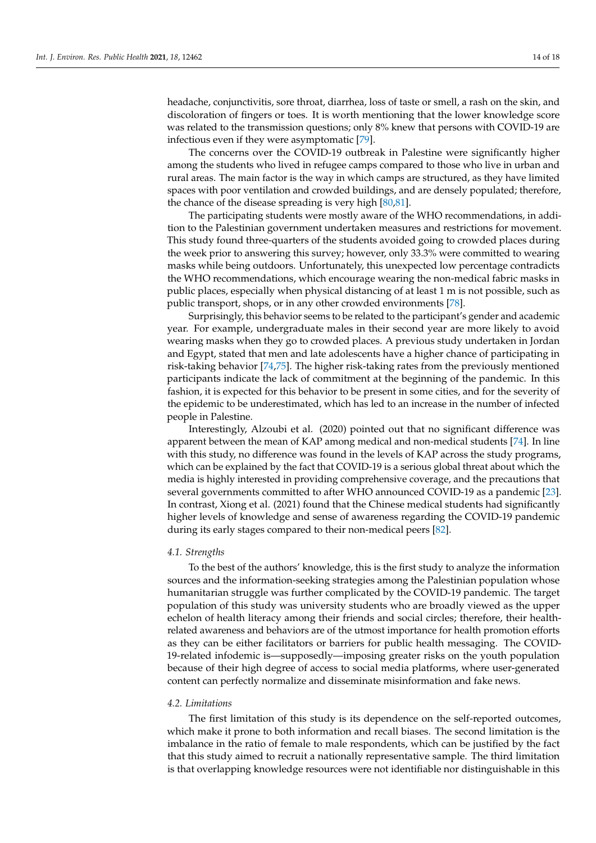headache, conjunctivitis, sore throat, diarrhea, loss of taste or smell, a rash on the skin, and discoloration of fingers or toes. It is worth mentioning that the lower knowledge score was related to the transmission questions; only 8% knew that persons with COVID-19 are infectious even if they were asymptomatic [\[79\]](#page-17-18).

The concerns over the COVID-19 outbreak in Palestine were significantly higher among the students who lived in refugee camps compared to those who live in urban and rural areas. The main factor is the way in which camps are structured, as they have limited spaces with poor ventilation and crowded buildings, and are densely populated; therefore, the chance of the disease spreading is very high [\[80,](#page-17-19)[81\]](#page-17-20).

The participating students were mostly aware of the WHO recommendations, in addition to the Palestinian government undertaken measures and restrictions for movement. This study found three-quarters of the students avoided going to crowded places during the week prior to answering this survey; however, only 33.3% were committed to wearing masks while being outdoors. Unfortunately, this unexpected low percentage contradicts the WHO recommendations, which encourage wearing the non-medical fabric masks in public places, especially when physical distancing of at least 1 m is not possible, such as public transport, shops, or in any other crowded environments [\[78\]](#page-17-17).

Surprisingly, this behavior seems to be related to the participant's gender and academic year. For example, undergraduate males in their second year are more likely to avoid wearing masks when they go to crowded places. A previous study undertaken in Jordan and Egypt, stated that men and late adolescents have a higher chance of participating in risk-taking behavior [\[74](#page-17-21)[,75\]](#page-17-14). The higher risk-taking rates from the previously mentioned participants indicate the lack of commitment at the beginning of the pandemic. In this fashion, it is expected for this behavior to be present in some cities, and for the severity of the epidemic to be underestimated, which has led to an increase in the number of infected people in Palestine.

Interestingly, Alzoubi et al. (2020) pointed out that no significant difference was apparent between the mean of KAP among medical and non-medical students [\[74\]](#page-17-21). In line with this study, no difference was found in the levels of KAP across the study programs, which can be explained by the fact that COVID-19 is a serious global threat about which the media is highly interested in providing comprehensive coverage, and the precautions that several governments committed to after WHO announced COVID-19 as a pandemic [\[23\]](#page-15-8). In contrast, Xiong et al. (2021) found that the Chinese medical students had significantly higher levels of knowledge and sense of awareness regarding the COVID-19 pandemic during its early stages compared to their non-medical peers [\[82\]](#page-17-22).

# *4.1. Strengths*

To the best of the authors' knowledge, this is the first study to analyze the information sources and the information-seeking strategies among the Palestinian population whose humanitarian struggle was further complicated by the COVID-19 pandemic. The target population of this study was university students who are broadly viewed as the upper echelon of health literacy among their friends and social circles; therefore, their healthrelated awareness and behaviors are of the utmost importance for health promotion efforts as they can be either facilitators or barriers for public health messaging. The COVID-19-related infodemic is—supposedly—imposing greater risks on the youth population because of their high degree of access to social media platforms, where user-generated content can perfectly normalize and disseminate misinformation and fake news.

#### *4.2. Limitations*

The first limitation of this study is its dependence on the self-reported outcomes, which make it prone to both information and recall biases. The second limitation is the imbalance in the ratio of female to male respondents, which can be justified by the fact that this study aimed to recruit a nationally representative sample. The third limitation is that overlapping knowledge resources were not identifiable nor distinguishable in this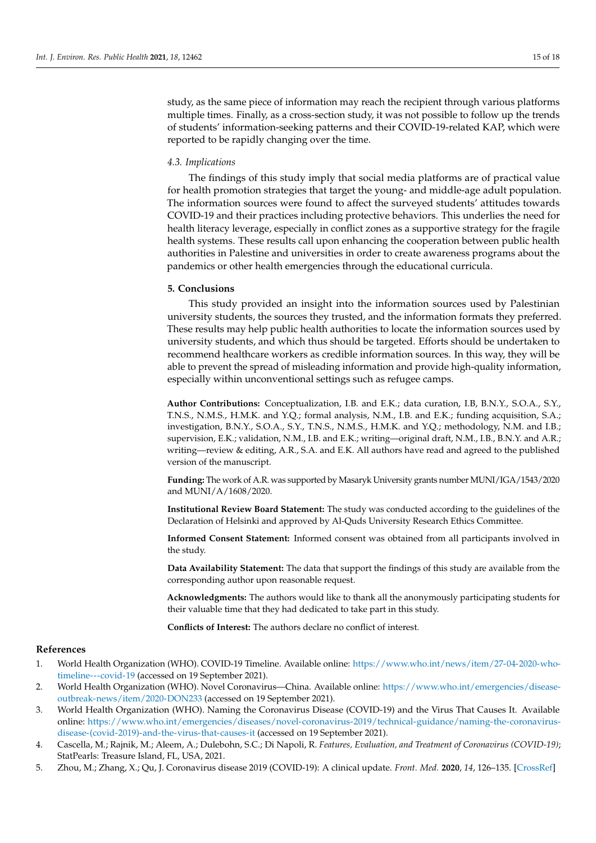study, as the same piece of information may reach the recipient through various platforms multiple times. Finally, as a cross-section study, it was not possible to follow up the trends of students' information-seeking patterns and their COVID-19-related KAP, which were reported to be rapidly changing over the time.

# *4.3. Implications*

The findings of this study imply that social media platforms are of practical value for health promotion strategies that target the young- and middle-age adult population. The information sources were found to affect the surveyed students' attitudes towards COVID-19 and their practices including protective behaviors. This underlies the need for health literacy leverage, especially in conflict zones as a supportive strategy for the fragile health systems. These results call upon enhancing the cooperation between public health authorities in Palestine and universities in order to create awareness programs about the pandemics or other health emergencies through the educational curricula.

# **5. Conclusions**

This study provided an insight into the information sources used by Palestinian university students, the sources they trusted, and the information formats they preferred. These results may help public health authorities to locate the information sources used by university students, and which thus should be targeted. Efforts should be undertaken to recommend healthcare workers as credible information sources. In this way, they will be able to prevent the spread of misleading information and provide high-quality information, especially within unconventional settings such as refugee camps.

**Author Contributions:** Conceptualization, I.B. and E.K.; data curation, I.B, B.N.Y., S.O.A., S.Y., T.N.S., N.M.S., H.M.K. and Y.Q.; formal analysis, N.M., I.B. and E.K.; funding acquisition, S.A.; investigation, B.N.Y., S.O.A., S.Y., T.N.S., N.M.S., H.M.K. and Y.Q.; methodology, N.M. and I.B.; supervision, E.K.; validation, N.M., I.B. and E.K.; writing—original draft, N.M., I.B., B.N.Y. and A.R.; writing—review & editing, A.R., S.A. and E.K. All authors have read and agreed to the published version of the manuscript.

**Funding:** The work of A.R. was supported by Masaryk University grants number MUNI/IGA/1543/2020 and MUNI/A/1608/2020.

**Institutional Review Board Statement:** The study was conducted according to the guidelines of the Declaration of Helsinki and approved by Al-Quds University Research Ethics Committee.

**Informed Consent Statement:** Informed consent was obtained from all participants involved in the study.

**Data Availability Statement:** The data that support the findings of this study are available from the corresponding author upon reasonable request.

**Acknowledgments:** The authors would like to thank all the anonymously participating students for their valuable time that they had dedicated to take part in this study.

**Conflicts of Interest:** The authors declare no conflict of interest.

#### **References**

- <span id="page-14-0"></span>1. World Health Organization (WHO). COVID-19 Timeline. Available online: [https://www.who.int/news/item/27-04-2020-who](https://www.who.int/news/item/27-04-2020-who-timeline---covid-19)[timeline---covid-19](https://www.who.int/news/item/27-04-2020-who-timeline---covid-19) (accessed on 19 September 2021).
- <span id="page-14-1"></span>2. World Health Organization (WHO). Novel Coronavirus—China. Available online: [https://www.who.int/emergencies/disease](https://www.who.int/emergencies/disease-outbreak-news/item/2020-DON233)[outbreak-news/item/2020-DON233](https://www.who.int/emergencies/disease-outbreak-news/item/2020-DON233) (accessed on 19 September 2021).
- <span id="page-14-2"></span>3. World Health Organization (WHO). Naming the Coronavirus Disease (COVID-19) and the Virus That Causes It. Available online: [https://www.who.int/emergencies/diseases/novel-coronavirus-2019/technical-guidance/naming-the-coronavirus](https://www.who.int/emergencies/diseases/novel-coronavirus-2019/technical-guidance/naming-the-coronavirus-disease-(covid-2019)-and-the-virus-that-causes-it)[disease-\(covid-2019\)-and-the-virus-that-causes-it](https://www.who.int/emergencies/diseases/novel-coronavirus-2019/technical-guidance/naming-the-coronavirus-disease-(covid-2019)-and-the-virus-that-causes-it) (accessed on 19 September 2021).
- <span id="page-14-3"></span>4. Cascella, M.; Rajnik, M.; Aleem, A.; Dulebohn, S.C.; Di Napoli, R. *Features, Evaluation, and Treatment of Coronavirus (COVID-19)*; StatPearls: Treasure Island, FL, USA, 2021.
- <span id="page-14-4"></span>5. Zhou, M.; Zhang, X.; Qu, J. Coronavirus disease 2019 (COVID-19): A clinical update. *Front. Med.* **2020**, *14*, 126–135. [\[CrossRef\]](http://doi.org/10.1007/s11684-020-0767-8)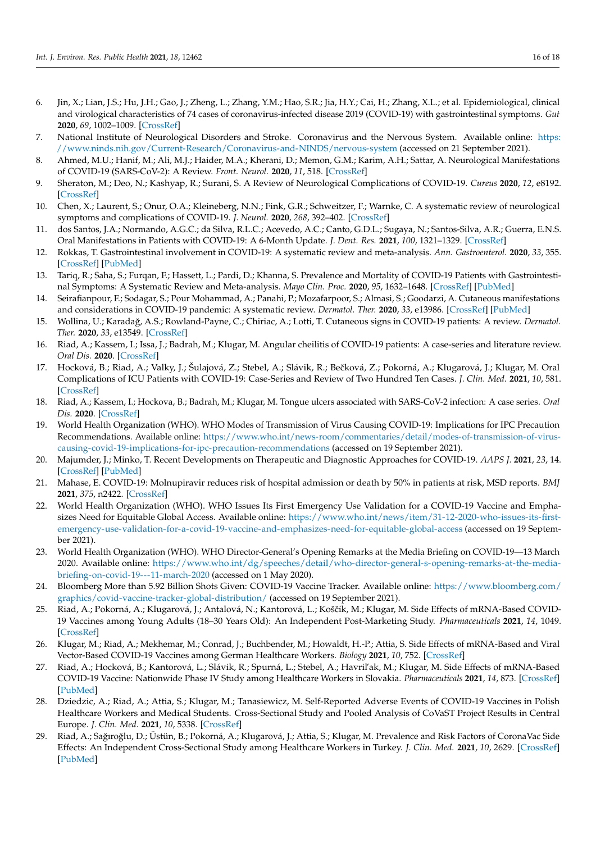- 6. Jin, X.; Lian, J.S.; Hu, J.H.; Gao, J.; Zheng, L.; Zhang, Y.M.; Hao, S.R.; Jia, H.Y.; Cai, H.; Zhang, X.L.; et al. Epidemiological, clinical and virological characteristics of 74 cases of coronavirus-infected disease 2019 (COVID-19) with gastrointestinal symptoms. *Gut* **2020**, *69*, 1002–1009. [\[CrossRef\]](http://doi.org/10.1136/gutjnl-2020-320926)
- 7. National Institute of Neurological Disorders and Stroke. Coronavirus and the Nervous System. Available online: [https:](https://www.ninds.nih.gov/Current-Research/Coronavirus-and-NINDS/nervous-system) [//www.ninds.nih.gov/Current-Research/Coronavirus-and-NINDS/nervous-system](https://www.ninds.nih.gov/Current-Research/Coronavirus-and-NINDS/nervous-system) (accessed on 21 September 2021).
- 8. Ahmed, M.U.; Hanif, M.; Ali, M.J.; Haider, M.A.; Kherani, D.; Memon, G.M.; Karim, A.H.; Sattar, A. Neurological Manifestations of COVID-19 (SARS-CoV-2): A Review. *Front. Neurol.* **2020**, *11*, 518. [\[CrossRef\]](http://doi.org/10.3389/fneur.2020.00518)
- 9. Sheraton, M.; Deo, N.; Kashyap, R.; Surani, S. A Review of Neurological Complications of COVID-19. *Cureus* **2020**, *12*, e8192. [\[CrossRef\]](http://doi.org/10.7759/cureus.8192)
- 10. Chen, X.; Laurent, S.; Onur, O.A.; Kleineberg, N.N.; Fink, G.R.; Schweitzer, F.; Warnke, C. A systematic review of neurological symptoms and complications of COVID-19. *J. Neurol.* **2020**, *268*, 392–402. [\[CrossRef\]](http://doi.org/10.1007/s00415-020-10067-3)
- <span id="page-15-1"></span>11. dos Santos, J.A.; Normando, A.G.C.; da Silva, R.L.C.; Acevedo, A.C.; Canto, G.D.L.; Sugaya, N.; Santos-Silva, A.R.; Guerra, E.N.S. Oral Manifestations in Patients with COVID-19: A 6-Month Update. *J. Dent. Res.* **2021**, *100*, 1321–1329. [\[CrossRef\]](http://doi.org/10.1177/00220345211029637)
- 12. Rokkas, T. Gastrointestinal involvement in COVID-19: A systematic review and meta-analysis. *Ann. Gastroenterol.* **2020**, *33*, 355. [\[CrossRef\]](http://doi.org/10.20524/aog.2020.0506) [\[PubMed\]](http://www.ncbi.nlm.nih.gov/pubmed/32624655)
- <span id="page-15-0"></span>13. Tariq, R.; Saha, S.; Furqan, F.; Hassett, L.; Pardi, D.; Khanna, S. Prevalence and Mortality of COVID-19 Patients with Gastrointestinal Symptoms: A Systematic Review and Meta-analysis. *Mayo Clin. Proc.* **2020**, *95*, 1632–1648. [\[CrossRef\]](http://doi.org/10.1016/j.mayocp.2020.06.003) [\[PubMed\]](http://www.ncbi.nlm.nih.gov/pubmed/32753138)
- <span id="page-15-2"></span>14. Seirafianpour, F.; Sodagar, S.; Pour Mohammad, A.; Panahi, P.; Mozafarpoor, S.; Almasi, S.; Goodarzi, A. Cutaneous manifestations and considerations in COVID-19 pandemic: A systematic review. *Dermatol. Ther.* **2020**, *33*, e13986. [\[CrossRef\]](http://doi.org/10.1111/dth.13986) [\[PubMed\]](http://www.ncbi.nlm.nih.gov/pubmed/32639077)
- 15. Wollina, U.; Karadağ, A.S.; Rowland-Payne, C.; Chiriac, A.; Lotti, T. Cutaneous signs in COVID-19 patients: A review. *Dermatol. Ther.* **2020**, *33*, e13549. [\[CrossRef\]](http://doi.org/10.1111/dth.13549)
- 16. Riad, A.; Kassem, I.; Issa, J.; Badrah, M.; Klugar, M. Angular cheilitis of COVID-19 patients: A case-series and literature review. *Oral Dis.* **2020**. [\[CrossRef\]](http://doi.org/10.1111/odi.13675)
- 17. Hocková, B.; Riad, A.; Valky, J.; Šulajová, Z.; Stebel, A.; Slávik, R.; Beˇcková, Z.; Pokorná, A.; Klugarová, J.; Klugar, M. Oral Complications of ICU Patients with COVID-19: Case-Series and Review of Two Hundred Ten Cases. *J. Clin. Med.* **2021**, *10*, 581. [\[CrossRef\]](http://doi.org/10.3390/jcm10040581)
- <span id="page-15-3"></span>18. Riad, A.; Kassem, I.; Hockova, B.; Badrah, M.; Klugar, M. Tongue ulcers associated with SARS-CoV-2 infection: A case series. *Oral Dis.* **2020**. [\[CrossRef\]](http://doi.org/10.1111/odi.13635)
- <span id="page-15-4"></span>19. World Health Organization (WHO). WHO Modes of Transmission of Virus Causing COVID-19: Implications for IPC Precaution Recommendations. Available online: [https://www.who.int/news-room/commentaries/detail/modes-of-transmission-of-virus](https://www.who.int/news-room/commentaries/detail/modes-of-transmission-of-virus-causing-covid-19-implications-for-ipc-precaution-recommendations)[causing-covid-19-implications-for-ipc-precaution-recommendations](https://www.who.int/news-room/commentaries/detail/modes-of-transmission-of-virus-causing-covid-19-implications-for-ipc-precaution-recommendations) (accessed on 19 September 2021).
- <span id="page-15-5"></span>20. Majumder, J.; Minko, T. Recent Developments on Therapeutic and Diagnostic Approaches for COVID-19. *AAPS J.* **2021**, *23*, 14. [\[CrossRef\]](http://doi.org/10.1208/s12248-020-00532-2) [\[PubMed\]](http://www.ncbi.nlm.nih.gov/pubmed/33400058)
- <span id="page-15-6"></span>21. Mahase, E. COVID-19: Molnupiravir reduces risk of hospital admission or death by 50% in patients at risk, MSD reports. *BMJ* **2021**, *375*, n2422. [\[CrossRef\]](http://doi.org/10.1136/bmj.n2422)
- <span id="page-15-7"></span>22. World Health Organization (WHO). WHO Issues Its First Emergency Use Validation for a COVID-19 Vaccine and Emphasizes Need for Equitable Global Access. Available online: [https://www.who.int/news/item/31-12-2020-who-issues-its-first](https://www.who.int/news/item/31-12-2020-who-issues-its-first-emergency-use-validation-for-a-covid-19-vaccine-and-emphasizes-need-for-equitable-global-access)[emergency-use-validation-for-a-covid-19-vaccine-and-emphasizes-need-for-equitable-global-access](https://www.who.int/news/item/31-12-2020-who-issues-its-first-emergency-use-validation-for-a-covid-19-vaccine-and-emphasizes-need-for-equitable-global-access) (accessed on 19 September 2021).
- <span id="page-15-8"></span>23. World Health Organization (WHO). WHO Director-General's Opening Remarks at the Media Briefing on COVID-19—13 March 2020. Available online: [https://www.who.int/dg/speeches/detail/who-director-general-s-opening-remarks-at-the-media](https://www.who.int/dg/speeches/detail/who-director-general-s-opening-remarks-at-the-media-briefing-on-covid-19---11-march-2020)[briefing-on-covid-19---11-march-2020](https://www.who.int/dg/speeches/detail/who-director-general-s-opening-remarks-at-the-media-briefing-on-covid-19---11-march-2020) (accessed on 1 May 2020).
- <span id="page-15-9"></span>24. Bloomberg More than 5.92 Billion Shots Given: COVID-19 Vaccine Tracker. Available online: [https://www.bloomberg.com/](https://www.bloomberg.com/graphics/covid-vaccine-tracker-global-distribution/) [graphics/covid-vaccine-tracker-global-distribution/](https://www.bloomberg.com/graphics/covid-vaccine-tracker-global-distribution/) (accessed on 19 September 2021).
- 25. Riad, A.; Pokorná, A.; Klugarová, J.; Antalová, N.; Kantorová, L.; Koščík, M.; Klugar, M. Side Effects of mRNA-Based COVID-19 Vaccines among Young Adults (18–30 Years Old): An Independent Post-Marketing Study. *Pharmaceuticals* **2021**, *14*, 1049. [\[CrossRef\]](http://doi.org/10.3390/ph14101049)
- 26. Klugar, M.; Riad, A.; Mekhemar, M.; Conrad, J.; Buchbender, M.; Howaldt, H.-P.; Attia, S. Side Effects of mRNA-Based and Viral Vector-Based COVID-19 Vaccines among German Healthcare Workers. *Biology* **2021**, *10*, 752. [\[CrossRef\]](http://doi.org/10.3390/biology10080752)
- 27. Riad, A.; Hocková, B.; Kantorová, L.; Slávik, R.; Spurná, L.; Stebel, A.; Havril'ak, M.; Klugar, M. Side Effects of mRNA-Based COVID-19 Vaccine: Nationwide Phase IV Study among Healthcare Workers in Slovakia. *Pharmaceuticals* **2021**, *14*, 873. [\[CrossRef\]](http://doi.org/10.3390/ph14090873) [\[PubMed\]](http://www.ncbi.nlm.nih.gov/pubmed/34577573)
- 28. Dziedzic, A.; Riad, A.; Attia, S.; Klugar, M.; Tanasiewicz, M. Self-Reported Adverse Events of COVID-19 Vaccines in Polish Healthcare Workers and Medical Students. Cross-Sectional Study and Pooled Analysis of CoVaST Project Results in Central Europe. *J. Clin. Med.* **2021**, *10*, 5338. [\[CrossRef\]](http://doi.org/10.3390/jcm10225338)
- 29. Riad, A.; Sağıroğlu, D.; Üstün, B.; Pokorná, A.; Klugarová, J.; Attia, S.; Klugar, M. Prevalence and Risk Factors of CoronaVac Side Effects: An Independent Cross-Sectional Study among Healthcare Workers in Turkey. *J. Clin. Med.* **2021**, *10*, 2629. [\[CrossRef\]](http://doi.org/10.3390/jcm10122629) [\[PubMed\]](http://www.ncbi.nlm.nih.gov/pubmed/34203769)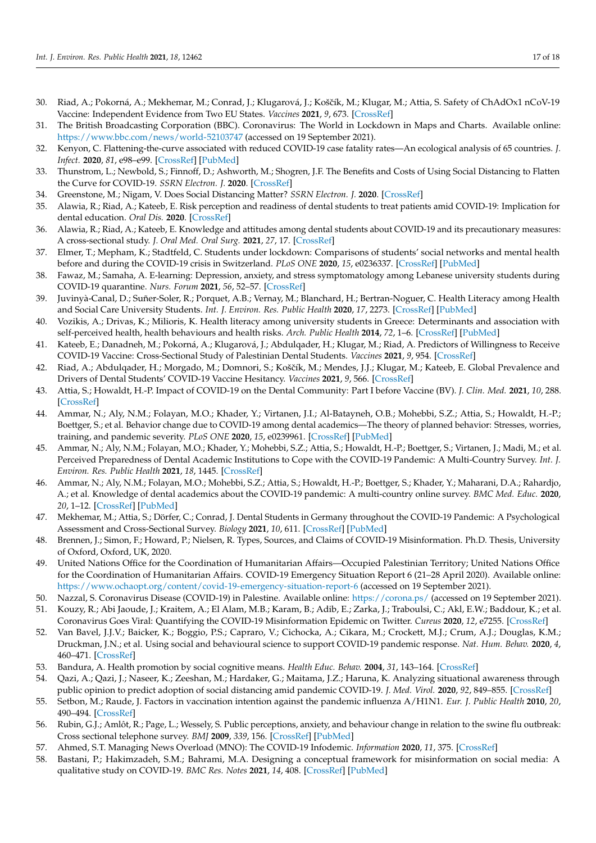- <span id="page-16-0"></span>30. Riad, A.; Pokorná, A.; Mekhemar, M.; Conrad, J.; Klugarová, J.; Koščík, M.; Klugar, M.; Attia, S. Safety of ChAdOx1 nCoV-19 Vaccine: Independent Evidence from Two EU States. *Vaccines* **2021**, *9*, 673. [\[CrossRef\]](http://doi.org/10.3390/vaccines9060673)
- <span id="page-16-1"></span>31. The British Broadcasting Corporation (BBC). Coronavirus: The World in Lockdown in Maps and Charts. Available online: <https://www.bbc.com/news/world-52103747> (accessed on 19 September 2021).
- <span id="page-16-2"></span>32. Kenyon, C. Flattening-the-curve associated with reduced COVID-19 case fatality rates—An ecological analysis of 65 countries. *J. Infect.* **2020**, *81*, e98–e99. [\[CrossRef\]](http://doi.org/10.1016/j.jinf.2020.04.007) [\[PubMed\]](http://www.ncbi.nlm.nih.gov/pubmed/32305488)
- <span id="page-16-4"></span>33. Thunstrom, L.; Newbold, S.; Finnoff, D.; Ashworth, M.; Shogren, J.F. The Benefits and Costs of Using Social Distancing to Flatten the Curve for COVID-19. *SSRN Electron. J.* **2020**. [\[CrossRef\]](http://doi.org/10.1017/bca.2020.12)
- <span id="page-16-3"></span>34. Greenstone, M.; Nigam, V. Does Social Distancing Matter? *SSRN Electron. J.* **2020**. [\[CrossRef\]](http://doi.org/10.2139/ssrn.3561244)
- <span id="page-16-5"></span>35. Alawia, R.; Riad, A.; Kateeb, E. Risk perception and readiness of dental students to treat patients amid COVID-19: Implication for dental education. *Oral Dis.* **2020**. [\[CrossRef\]](http://doi.org/10.1111/odi.13593)
- <span id="page-16-6"></span>36. Alawia, R.; Riad, A.; Kateeb, E. Knowledge and attitudes among dental students about COVID-19 and its precautionary measures: A cross-sectional study. *J. Oral Med. Oral Surg.* **2021**, *27*, 17. [\[CrossRef\]](http://doi.org/10.1051/mbcb/2020056)
- 37. Elmer, T.; Mepham, K.; Stadtfeld, C. Students under lockdown: Comparisons of students' social networks and mental health before and during the COVID-19 crisis in Switzerland. *PLoS ONE* **2020**, *15*, e0236337. [\[CrossRef\]](http://doi.org/10.1371/journal.pone.0236337) [\[PubMed\]](http://www.ncbi.nlm.nih.gov/pubmed/32702065)
- <span id="page-16-7"></span>38. Fawaz, M.; Samaha, A. E-learning: Depression, anxiety, and stress symptomatology among Lebanese university students during COVID-19 quarantine. *Nurs. Forum* **2021**, *56*, 52–57. [\[CrossRef\]](http://doi.org/10.1111/nuf.12521)
- <span id="page-16-8"></span>39. Juvinyà-Canal, D.; Suñer-Soler, R.; Porquet, A.B.; Vernay, M.; Blanchard, H.; Bertran-Noguer, C. Health Literacy among Health and Social Care University Students. *Int. J. Environ. Res. Public Health* **2020**, *17*, 2273. [\[CrossRef\]](http://doi.org/10.3390/ijerph17072273) [\[PubMed\]](http://www.ncbi.nlm.nih.gov/pubmed/32230985)
- 40. Vozikis, A.; Drivas, K.; Milioris, K. Health literacy among university students in Greece: Determinants and association with self-perceived health, health behaviours and health risks. *Arch. Public Health* **2014**, *72*, 1–6. [\[CrossRef\]](http://doi.org/10.1186/2049-3258-72-15) [\[PubMed\]](http://www.ncbi.nlm.nih.gov/pubmed/24987522)
- 41. Kateeb, E.; Danadneh, M.; Pokorná, A.; Klugarová, J.; Abdulqader, H.; Klugar, M.; Riad, A. Predictors of Willingness to Receive COVID-19 Vaccine: Cross-Sectional Study of Palestinian Dental Students. *Vaccines* **2021**, *9*, 954. [\[CrossRef\]](http://doi.org/10.3390/vaccines9090954)
- <span id="page-16-9"></span>42. Riad, A.; Abdulqader, H.; Morgado, M.; Domnori, S.; Koščík, M.; Mendes, J.J.; Klugar, M.; Kateeb, E. Global Prevalence and Drivers of Dental Students' COVID-19 Vaccine Hesitancy. *Vaccines* **2021**, *9*, 566. [\[CrossRef\]](http://doi.org/10.3390/vaccines9060566)
- <span id="page-16-10"></span>43. Attia, S.; Howaldt, H.-P. Impact of COVID-19 on the Dental Community: Part I before Vaccine (BV). *J. Clin. Med.* **2021**, *10*, 288. [\[CrossRef\]](http://doi.org/10.3390/jcm10020288)
- 44. Ammar, N.; Aly, N.M.; Folayan, M.O.; Khader, Y.; Virtanen, J.I.; Al-Batayneh, O.B.; Mohebbi, S.Z.; Attia, S.; Howaldt, H.-P.; Boettger, S.; et al. Behavior change due to COVID-19 among dental academics—The theory of planned behavior: Stresses, worries, training, and pandemic severity. *PLoS ONE* **2020**, *15*, e0239961. [\[CrossRef\]](http://doi.org/10.1371/journal.pone.0239961) [\[PubMed\]](http://www.ncbi.nlm.nih.gov/pubmed/32991611)
- 45. Ammar, N.; Aly, N.M.; Folayan, M.O.; Khader, Y.; Mohebbi, S.Z.; Attia, S.; Howaldt, H.-P.; Boettger, S.; Virtanen, J.; Madi, M.; et al. Perceived Preparedness of Dental Academic Institutions to Cope with the COVID-19 Pandemic: A Multi-Country Survey. *Int. J. Environ. Res. Public Health* **2021**, *18*, 1445. [\[CrossRef\]](http://doi.org/10.3390/ijerph18041445)
- 46. Ammar, N.; Aly, N.M.; Folayan, M.O.; Mohebbi, S.Z.; Attia, S.; Howaldt, H.-P.; Boettger, S.; Khader, Y.; Maharani, D.A.; Rahardjo, A.; et al. Knowledge of dental academics about the COVID-19 pandemic: A multi-country online survey. *BMC Med. Educ.* **2020**, *20*, 1–12. [\[CrossRef\]](http://doi.org/10.1186/s12909-020-02308-w) [\[PubMed\]](http://www.ncbi.nlm.nih.gov/pubmed/33138810)
- <span id="page-16-11"></span>47. Mekhemar, M.; Attia, S.; Dörfer, C.; Conrad, J. Dental Students in Germany throughout the COVID-19 Pandemic: A Psychological Assessment and Cross-Sectional Survey. *Biology* **2021**, *10*, 611. [\[CrossRef\]](http://doi.org/10.3390/biology10070611) [\[PubMed\]](http://www.ncbi.nlm.nih.gov/pubmed/34356466)
- <span id="page-16-12"></span>48. Brennen, J.; Simon, F.; Howard, P.; Nielsen, R. Types, Sources, and Claims of COVID-19 Misinformation. Ph.D. Thesis, University of Oxford, Oxford, UK, 2020.
- <span id="page-16-13"></span>49. United Nations Office for the Coordination of Humanitarian Affairs—Occupied Palestinian Territory; United Nations Office for the Coordination of Humanitarian Affairs. COVID-19 Emergency Situation Report 6 (21–28 April 2020). Available online: <https://www.ochaopt.org/content/covid-19-emergency-situation-report-6> (accessed on 19 September 2021).
- <span id="page-16-14"></span>50. Nazzal, S. Coronavirus Disease (COVID-19) in Palestine. Available online: <https://corona.ps/> (accessed on 19 September 2021).
- <span id="page-16-15"></span>51. Kouzy, R.; Abi Jaoude, J.; Kraitem, A.; El Alam, M.B.; Karam, B.; Adib, E.; Zarka, J.; Traboulsi, C.; Akl, E.W.; Baddour, K.; et al. Coronavirus Goes Viral: Quantifying the COVID-19 Misinformation Epidemic on Twitter. *Cureus* **2020**, *12*, e7255. [\[CrossRef\]](http://doi.org/10.7759/cureus.7255)
- <span id="page-16-16"></span>52. Van Bavel, J.J.V.; Baicker, K.; Boggio, P.S.; Capraro, V.; Cichocka, A.; Cikara, M.; Crockett, M.J.; Crum, A.J.; Douglas, K.M.; Druckman, J.N.; et al. Using social and behavioural science to support COVID-19 pandemic response. *Nat. Hum. Behav.* **2020**, *4*, 460–471. [\[CrossRef\]](http://doi.org/10.1038/s41562-020-0884-z)
- <span id="page-16-18"></span><span id="page-16-17"></span>53. Bandura, A. Health promotion by social cognitive means. *Health Educ. Behav.* **2004**, *31*, 143–164. [\[CrossRef\]](http://doi.org/10.1177/1090198104263660)
- 54. Qazi, A.; Qazi, J.; Naseer, K.; Zeeshan, M.; Hardaker, G.; Maitama, J.Z.; Haruna, K. Analyzing situational awareness through public opinion to predict adoption of social distancing amid pandemic COVID-19. *J. Med. Virol.* **2020**, *92*, 849–855. [\[CrossRef\]](http://doi.org/10.1002/jmv.25840)
- <span id="page-16-19"></span>55. Setbon, M.; Raude, J. Factors in vaccination intention against the pandemic influenza A/H1N1. *Eur. J. Public Health* **2010**, *20*, 490–494. [\[CrossRef\]](http://doi.org/10.1093/eurpub/ckq054)
- <span id="page-16-20"></span>56. Rubin, G.J.; Amlôt, R.; Page, L.; Wessely, S. Public perceptions, anxiety, and behaviour change in relation to the swine flu outbreak: Cross sectional telephone survey. *BMJ* **2009**, *339*, 156. [\[CrossRef\]](http://doi.org/10.1136/bmj.b2651) [\[PubMed\]](http://www.ncbi.nlm.nih.gov/pubmed/19574308)
- <span id="page-16-21"></span>57. Ahmed, S.T. Managing News Overload (MNO): The COVID-19 Infodemic. *Information* **2020**, *11*, 375. [\[CrossRef\]](http://doi.org/10.3390/info11080375)
- <span id="page-16-22"></span>58. Bastani, P.; Hakimzadeh, S.M.; Bahrami, M.A. Designing a conceptual framework for misinformation on social media: A qualitative study on COVID-19. *BMC Res. Notes* **2021**, *14*, 408. [\[CrossRef\]](http://doi.org/10.1186/s13104-021-05822-2) [\[PubMed\]](http://www.ncbi.nlm.nih.gov/pubmed/34727969)